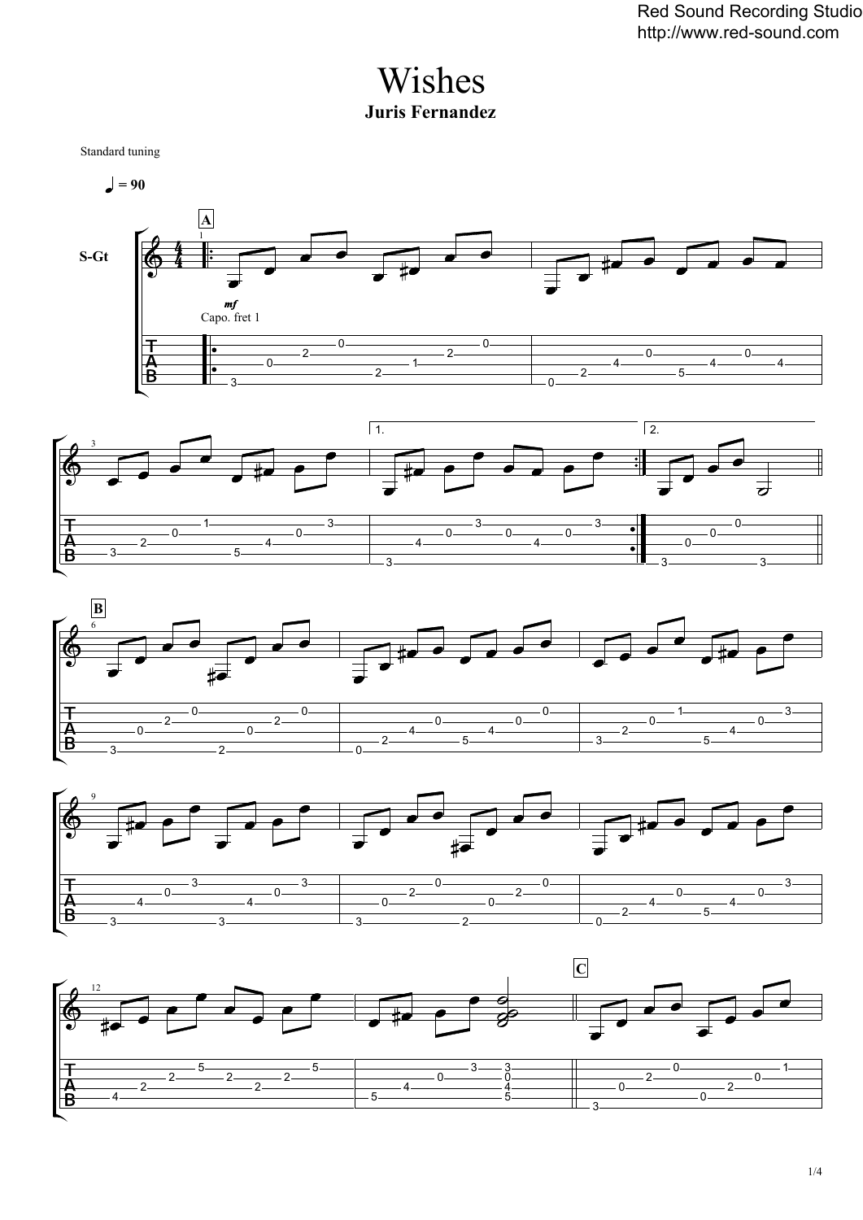## Wishes **Juris Fernandez**

Standard tuning









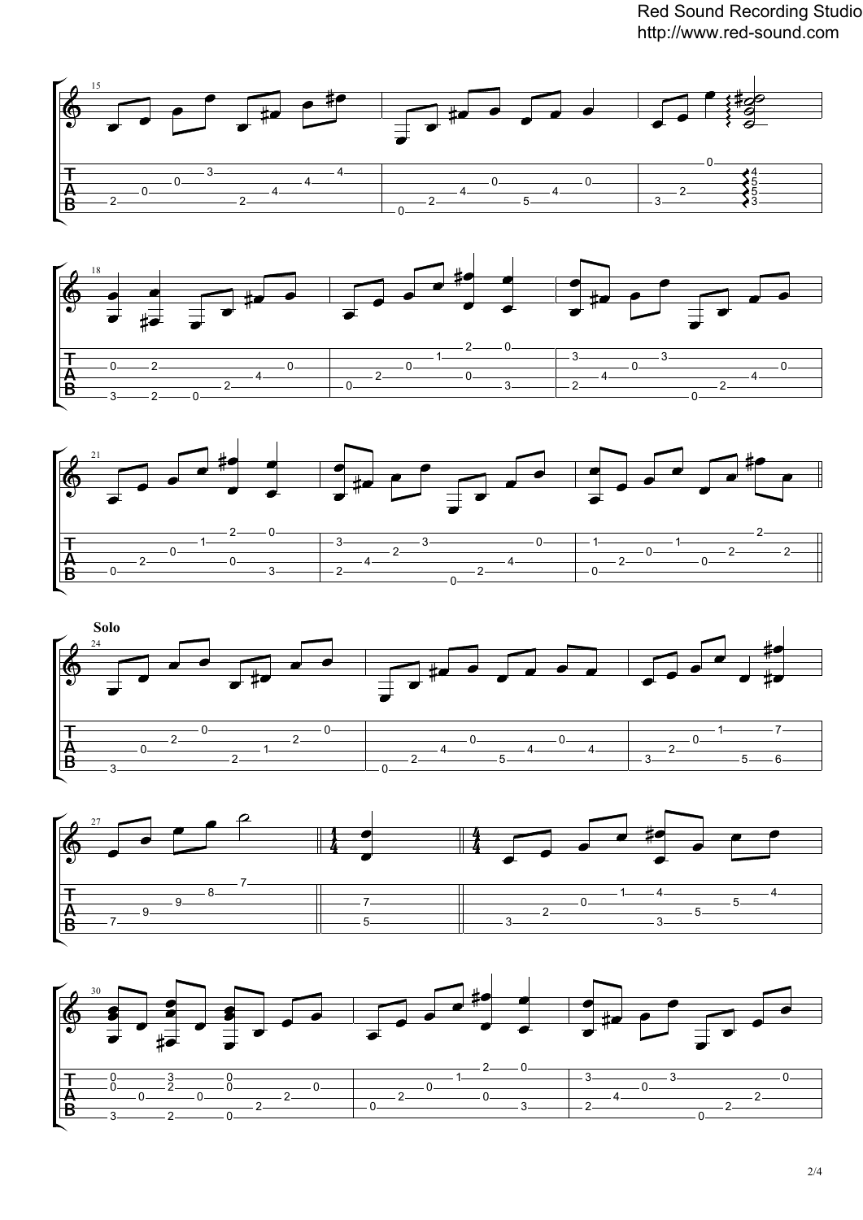Red Sound Recording Studio http://www.red-sound.com











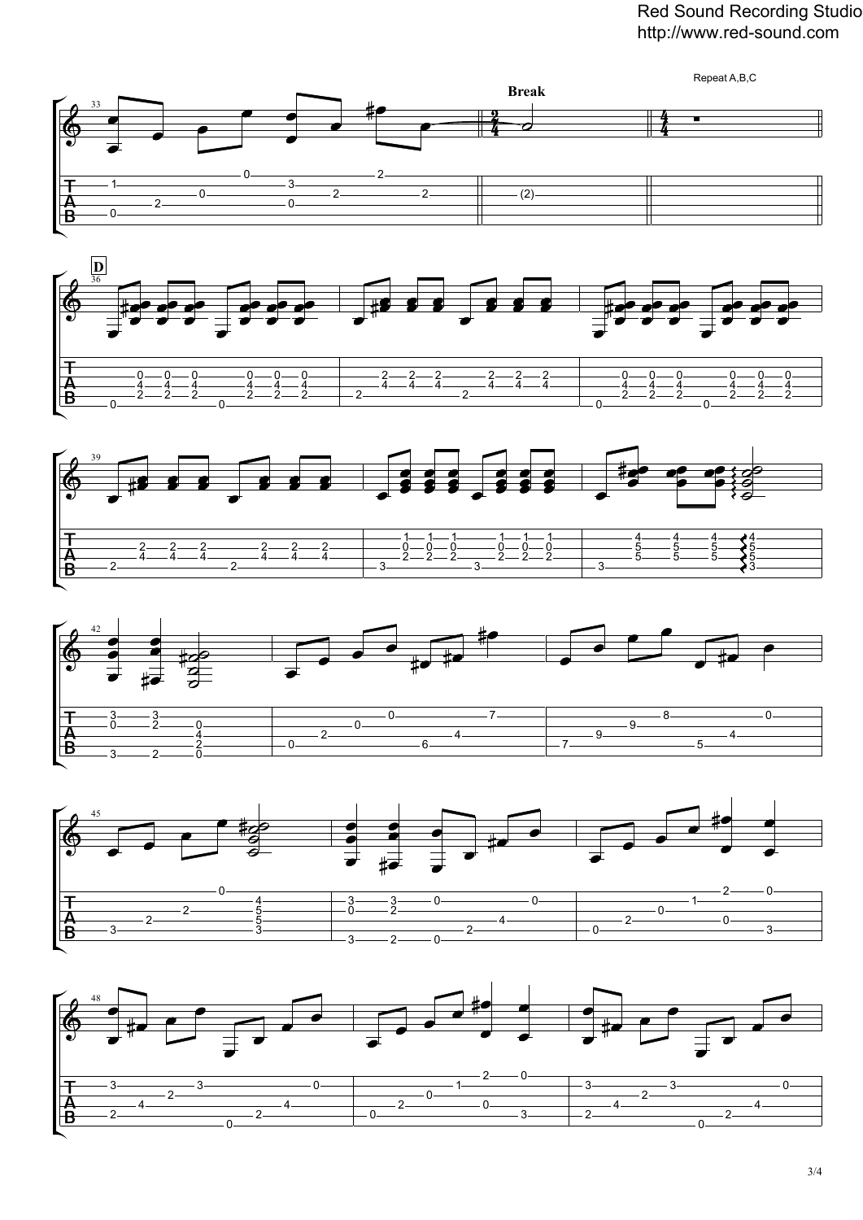## Red Sound Recording Studio http://www.red-sound.com